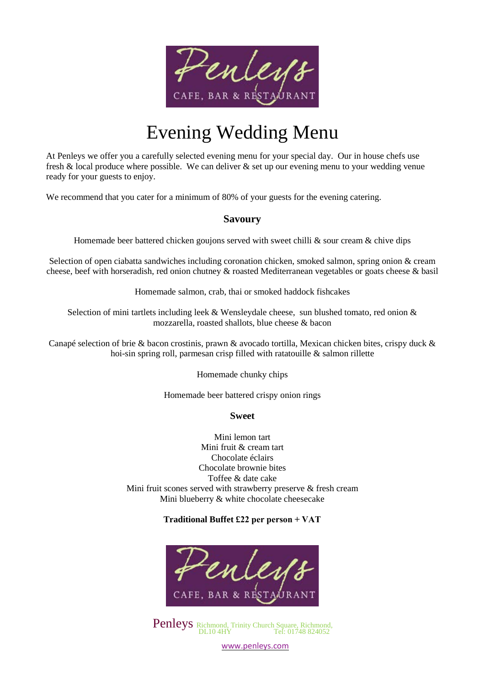

# Evening Wedding Menu

At Penleys we offer you a carefully selected evening menu for your special day. Our in house chefs use fresh & local produce where possible. We can deliver & set up our evening menu to your wedding venue ready for your guests to enjoy.

We recommend that you cater for a minimum of 80% of your guests for the evening catering.

### **Savoury**

Homemade beer battered chicken goujons served with sweet chilli  $\&$  sour cream  $\&$  chive dips

Selection of open ciabatta sandwiches including coronation chicken, smoked salmon, spring onion & cream cheese, beef with horseradish, red onion chutney & roasted Mediterranean vegetables or goats cheese & basil

Homemade salmon, crab, thai or smoked haddock fishcakes

Selection of mini tartlets including leek & Wensleydale cheese, sun blushed tomato, red onion & mozzarella, roasted shallots, blue cheese & bacon

Canapé selection of brie & bacon crostinis, prawn & avocado tortilla, Mexican chicken bites, crispy duck & hoi-sin spring roll, parmesan crisp filled with ratatouille & salmon rillette

Homemade chunky chips

Homemade beer battered crispy onion rings

#### **Sweet**

Mini lemon tart Mini fruit & cream tart Chocolate éclairs Chocolate brownie bites Toffee & date cake Mini fruit scones served with strawberry preserve & fresh cream Mini blueberry & white chocolate cheesecake

### **Traditional Buffet £22 per person + VAT**



Penleys Richmond, Trinity Church Square, Richmond, DL10 4HY Tel: 01748 824052

[www.penleys.com](http://www.penleys.com/)